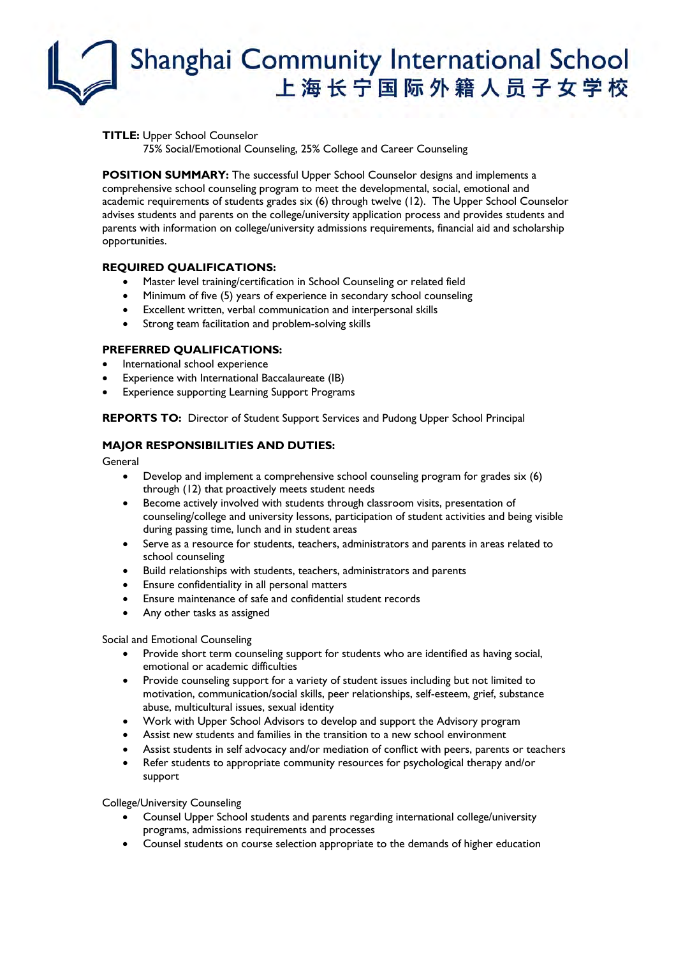# Shanghai Community International School 上海长宁国际外籍人员子女学校

**TITLE:** Upper School Counselor

75% Social/Emotional Counseling, 25% College and Career Counseling

**POSITION SUMMARY:** The successful Upper School Counselor designs and implements a comprehensive school counseling program to meet the developmental, social, emotional and academic requirements of students grades six (6) through twelve (12). The Upper School Counselor advises students and parents on the college/university application process and provides students and parents with information on college/university admissions requirements, financial aid and scholarship opportunities.

### **REQUIRED QUALIFICATIONS:**

- Master level training/certification in School Counseling or related field
- Minimum of five (5) years of experience in secondary school counseling
- Excellent written, verbal communication and interpersonal skills
- Strong team facilitation and problem-solving skills

### **PREFERRED QUALIFICATIONS:**

- International school experience
- Experience with International Baccalaureate (IB)
- **Experience supporting Learning Support Programs**

**REPORTS TO:** Director of Student Support Services and Pudong Upper School Principal

### **MAJOR RESPONSIBILITIES AND DUTIES:**

General

- Develop and implement a comprehensive school counseling program for grades six (6) through (12) that proactively meets student needs
- Become actively involved with students through classroom visits, presentation of counseling/college and university lessons, participation of student activities and being visible during passing time, lunch and in student areas
- Serve as a resource for students, teachers, administrators and parents in areas related to school counseling
- Build relationships with students, teachers, administrators and parents
- Ensure confidentiality in all personal matters
- Ensure maintenance of safe and confidential student records
- Any other tasks as assigned

#### Social and Emotional Counseling

- Provide short term counseling support for students who are identified as having social, emotional or academic difficulties
- Provide counseling support for a variety of student issues including but not limited to motivation, communication/social skills, peer relationships, self-esteem, grief, substance abuse, multicultural issues, sexual identity
- Work with Upper School Advisors to develop and support the Advisory program
- Assist new students and families in the transition to a new school environment
- Assist students in self advocacy and/or mediation of conflict with peers, parents or teachers
- Refer students to appropriate community resources for psychological therapy and/or support

College/University Counseling

- Counsel Upper School students and parents regarding international college/university programs, admissions requirements and processes
- Counsel students on course selection appropriate to the demands of higher education